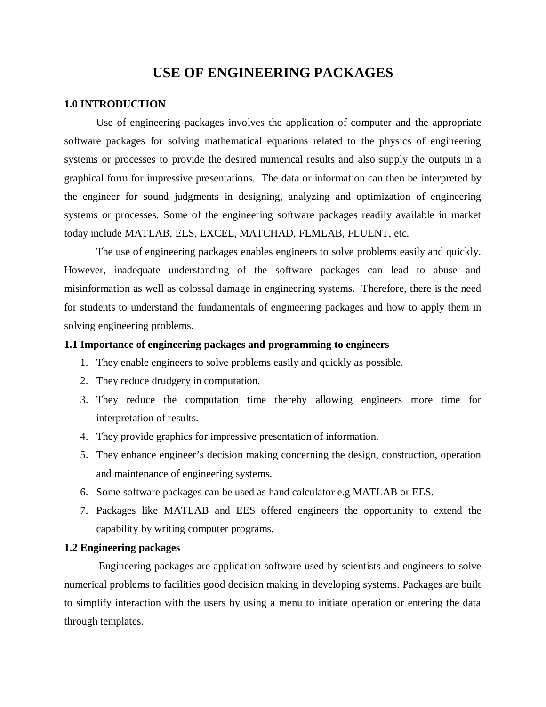# **USE OF ENGINEERING PACKAGES**

#### **1.0 INTRODUCTION**

Use of engineering packages involves the application of computer and the appropriate software packages for solving mathematical equations related to the physics of engineering systems or processes to provide the desired numerical results and also supply the outputs in a graphical form for impressive presentations. The data or information can then be interpreted by the engineer for sound judgments in designing, analyzing and optimization of engineering systems or processes. Some of the engineering software packages readily available in market today include MATLAB, EES, EXCEL, MATCHAD, FEMLAB, FLUENT, etc.

The use of engineering packages enables engineers to solve problems easily and quickly. However, inadequate understanding of the software packages can lead to abuse and misinformation as well as colossal damage in engineering systems. Therefore, there is the need for students to understand the fundamentals of engineering packages and how to apply them in solving engineering problems.

#### **1.1 Importance of engineering packages and programming to engineers**

- 1. They enable engineers to solve problems easily and quickly as possible.
- 2. They reduce drudgery in computation.
- 3. They reduce the computation time thereby allowing engineers more time for interpretation of results.
- 4. They provide graphics for impressive presentation of information.
- 5. They enhance engineer's decision making concerning the design, construction, operation and maintenance of engineering systems.
- 6. Some software packages can be used as hand calculator e.g MATLAB or EES.
- 7. Packages like MATLAB and EES offered engineers the opportunity to extend the capability by writing computer programs.

### **1.2 Engineering packages**

Engineering packages are application software used by scientists and engineers to solve numerical problems to facilities good decision making in developing systems. Packages are built to simplify interaction with the users by using a menu to initiate operation or entering the data through templates.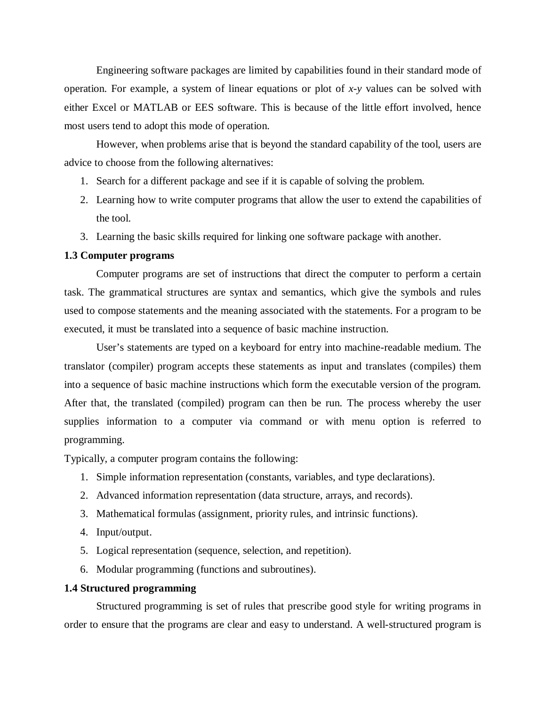Engineering software packages are limited by capabilities found in their standard mode of operation. For example, a system of linear equations or plot of *x*-*y* values can be solved with either Excel or MATLAB or EES software. This is because of the little effort involved, hence most users tend to adopt this mode of operation.

However, when problems arise that is beyond the standard capability of the tool, users are advice to choose from the following alternatives:

- 1. Search for a different package and see if it is capable of solving the problem.
- 2. Learning how to write computer programs that allow the user to extend the capabilities of the tool.
- 3. Learning the basic skills required for linking one software package with another.

#### **1.3 Computer programs**

Computer programs are set of instructions that direct the computer to perform a certain task. The grammatical structures are syntax and semantics, which give the symbols and rules used to compose statements and the meaning associated with the statements. For a program to be executed, it must be translated into a sequence of basic machine instruction.

User's statements are typed on a keyboard for entry into machine-readable medium. The translator (compiler) program accepts these statements as input and translates (compiles) them into a sequence of basic machine instructions which form the executable version of the program. After that, the translated (compiled) program can then be run. The process whereby the user supplies information to a computer via command or with menu option is referred to programming.

Typically, a computer program contains the following:

- 1. Simple information representation (constants, variables, and type declarations).
- 2. Advanced information representation (data structure, arrays, and records).
- 3. Mathematical formulas (assignment, priority rules, and intrinsic functions).
- 4. Input/output.
- 5. Logical representation (sequence, selection, and repetition).
- 6. Modular programming (functions and subroutines).

#### **1.4 Structured programming**

Structured programming is set of rules that prescribe good style for writing programs in order to ensure that the programs are clear and easy to understand. A well-structured program is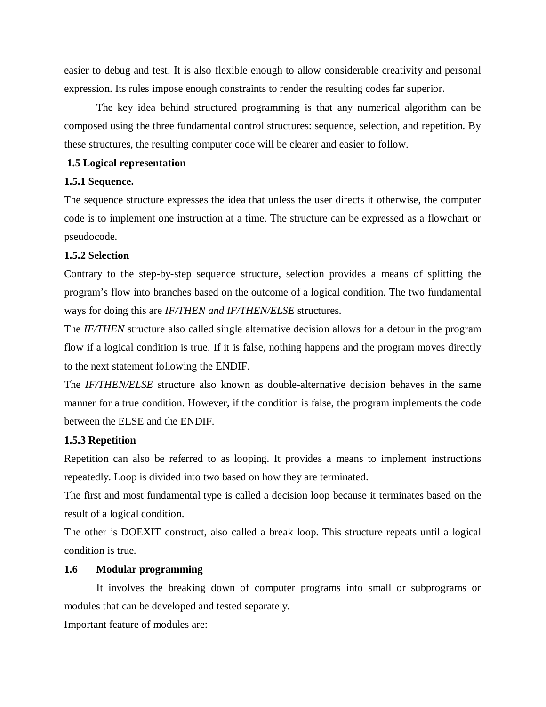easier to debug and test. It is also flexible enough to allow considerable creativity and personal expression. Its rules impose enough constraints to render the resulting codes far superior.

The key idea behind structured programming is that any numerical algorithm can be composed using the three fundamental control structures: sequence, selection, and repetition. By these structures, the resulting computer code will be clearer and easier to follow.

#### **1.5 Logical representation**

#### **1.5.1 Sequence.**

The sequence structure expresses the idea that unless the user directs it otherwise, the computer code is to implement one instruction at a time. The structure can be expressed as a flowchart or pseudocode.

#### **1.5.2 Selection**

Contrary to the step-by-step sequence structure, selection provides a means of splitting the program's flow into branches based on the outcome of a logical condition. The two fundamental ways for doing this are *IF/THEN and IF/THEN/ELSE* structures.

The *IF/THEN* structure also called single alternative decision allows for a detour in the program flow if a logical condition is true. If it is false, nothing happens and the program moves directly to the next statement following the ENDIF.

The *IF/THEN/ELSE* structure also known as double-alternative decision behaves in the same manner for a true condition. However, if the condition is false, the program implements the code between the ELSE and the ENDIF.

#### **1.5.3 Repetition**

Repetition can also be referred to as looping. It provides a means to implement instructions repeatedly. Loop is divided into two based on how they are terminated.

The first and most fundamental type is called a decision loop because it terminates based on the result of a logical condition.

The other is DOEXIT construct, also called a break loop. This structure repeats until a logical condition is true.

#### **1.6 Modular programming**

It involves the breaking down of computer programs into small or subprograms or modules that can be developed and tested separately.

Important feature of modules are: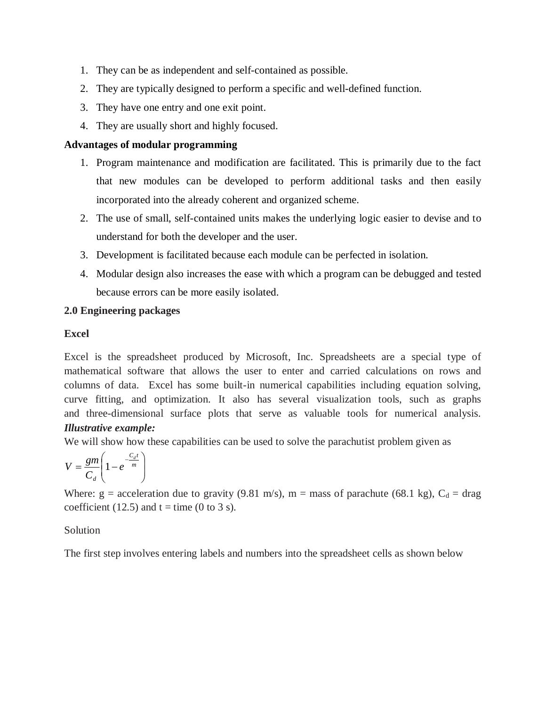- 1. They can be as independent and self-contained as possible.
- 2. They are typically designed to perform a specific and well-defined function.
- 3. They have one entry and one exit point.
- 4. They are usually short and highly focused.

### **Advantages of modular programming**

- 1. Program maintenance and modification are facilitated. This is primarily due to the fact that new modules can be developed to perform additional tasks and then easily incorporated into the already coherent and organized scheme.
- 2. The use of small, self-contained units makes the underlying logic easier to devise and to understand for both the developer and the user.
- 3. Development is facilitated because each module can be perfected in isolation.
- 4. Modular design also increases the ease with which a program can be debugged and tested because errors can be more easily isolated.

### **2.0 Engineering packages**

### **Excel**

Excel is the spreadsheet produced by Microsoft, Inc. Spreadsheets are a special type of mathematical software that allows the user to enter and carried calculations on rows and columns of data. Excel has some built-in numerical capabilities including equation solving, curve fitting, and optimization. It also has several visualization tools, such as graphs and three-dimensional surface plots that serve as valuable tools for numerical analysis. *Illustrative example:*

We will show how these capabilities can be used to solve the parachutist problem given as

$$
V = \frac{gm}{C_d} \left( 1 - e^{-\frac{C_d t}{m}} \right)
$$

Where:  $g =$  acceleration due to gravity (9.81 m/s), m = mass of parachute (68.1 kg),  $C_d =$  drag coefficient (12.5) and  $t =$  time (0 to 3 s).

## Solution

The first step involves entering labels and numbers into the spreadsheet cells as shown below